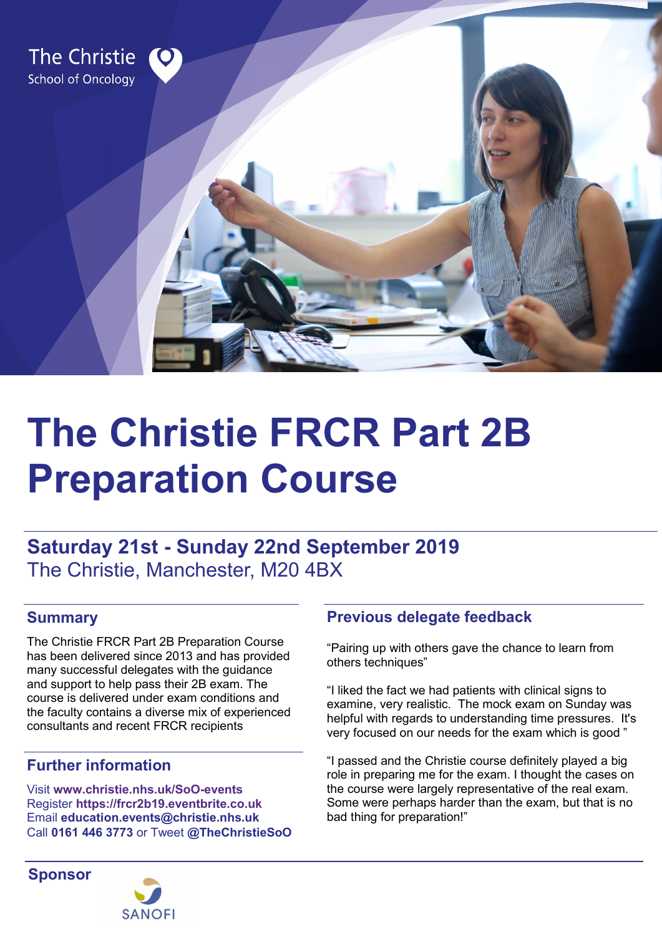

# **The Christie FRCR Part 2B Preparation Course**

# **Saturday 21st - Sunday 22nd September 2019**  The Christie, Manchester, M20 4BX

## **Summary**

The Christie FRCR Part 2B Preparation Course has been delivered since 2013 and has provided many successful delegates with the guidance and support to help pass their 2B exam. The course is delivered under exam conditions and the faculty contains a diverse mix of experienced consultants and recent FRCR recipients

### **Further information**

Visit **[www.christie.nhs.uk/SoO](https://www.christie.nhs.uk/soo-events)-events** Register **[https://frcr2b19.eventbrite.co.uk](https://www.eventbrite.co.uk/e/the-christie-frcr-part-2b-preparation-course-tickets-61288365150)** Email **[education.events@christie.nhs.uk](mailto:education.events@christie.nhs.uk)** Call **0161 446 3773** or Tweet **[@TheChristieSoO](http://www.twitter.com/TheChristieSoO)**

# **Sponsor**



## **Previous delegate feedback**

"Pairing up with others gave the chance to learn from others techniques"

"I liked the fact we had patients with clinical signs to examine, very realistic. The mock exam on Sunday was helpful with regards to understanding time pressures. It's very focused on our needs for the exam which is good "

"I passed and the Christie course definitely played a big role in preparing me for the exam. I thought the cases on the course were largely representative of the real exam. Some were perhaps harder than the exam, but that is no bad thing for preparation!"